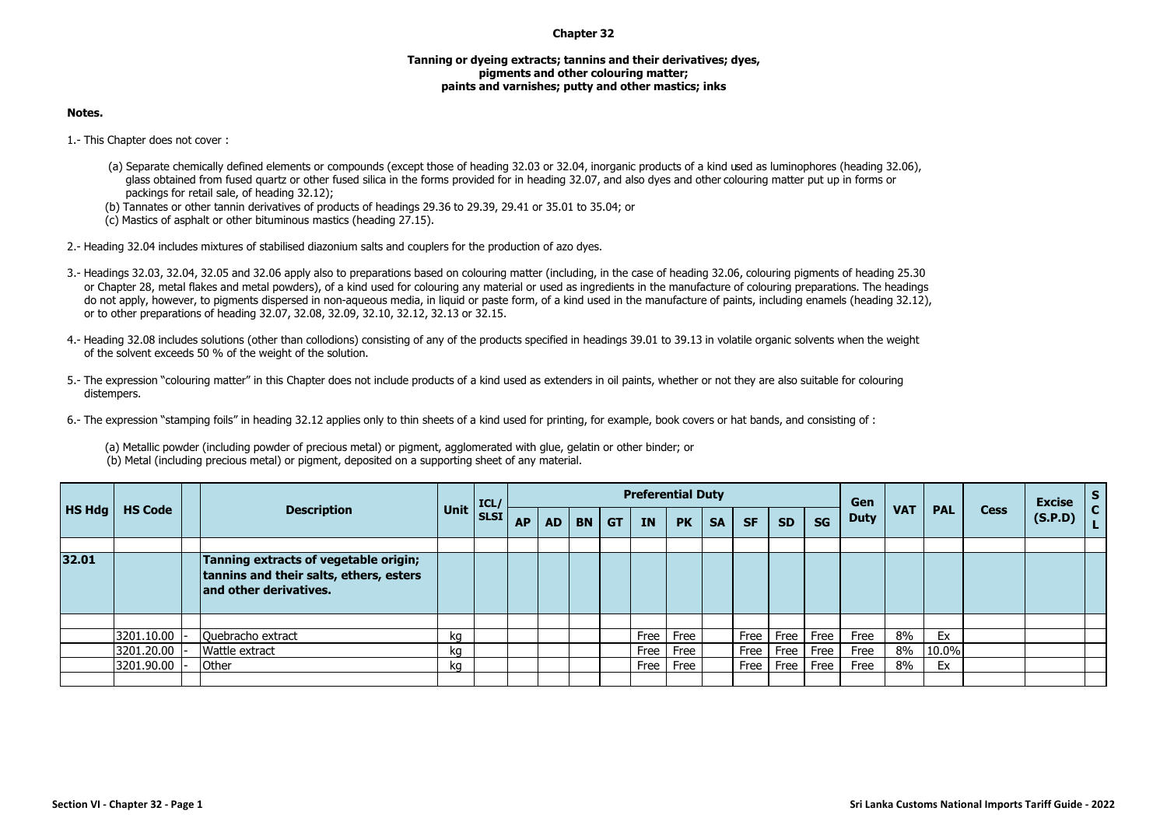## **Chapter 32**

## **Tanning or dyeing extracts; tannins and their derivatives; dyes, pigments and other colouring matter; paints and varnishes; putty and other mastics; inks**

## **Notes.**

1.- This Chapter does not cover :

- (a) Separate chemically defined elements or compounds (except those of heading 32.03 or 32.04, inorganic products of a kind used as luminophores (heading 32.06), glass obtained from fused quartz or other fused silica in the forms provided for in heading 32.07, and also dyes and other colouring matter put up in forms or packings for retail sale, of heading 32.12);
- (b) Tannates or other tannin derivatives of products of headings 29.36 to 29.39, 29.41 or 35.01 to 35.04; or
- (c) Mastics of asphalt or other bituminous mastics (heading 27.15).
- 2.- Heading 32.04 includes mixtures of stabilised diazonium salts and couplers for the production of azo dyes.
- 3.- Headings 32.03, 32.04, 32.05 and 32.06 apply also to preparations based on colouring matter (including, in the case of heading 32.06, colouring pigments of heading 25.30 or Chapter 28, metal flakes and metal powders), of a kind used for colouring any material or used as ingredients in the manufacture of colouring preparations. The headings do not apply, however, to pigments dispersed in non-aqueous media, in liquid or paste form, of a kind used in the manufacture of paints, including enamels (heading 32.12), or to other preparations of heading 32.07, 32.08, 32.09, 32.10, 32.12, 32.13 or 32.15.
- 4.- Heading 32.08 includes solutions (other than collodions) consisting of any of the products specified in headings 39.01 to 39.13 in volatile organic solvents when the weight of the solvent exceeds 50 % of the weight of the solution.
- 5.- The expression "colouring matter" in this Chapter does not include products of a kind used as extenders in oil paints, whether or not they are also suitable for colouring distempers.
- 6.- The expression "stamping foils" in heading 32.12 applies only to thin sheets of a kind used for printing, for example, book covers or hat bands, and consisting of :

(a) Metallic powder (including powder of precious metal) or pigment, agglomerated with glue, gelatin or other binder; or (b) Metal (including precious metal) or pigment, deposited on a supporting sheet of any material.

| HS Hdg |                |                                                                                                            | Unit ICL/ |             |           |           |           |           |           | <b>Preferential Duty</b> |           |           |             |      | Gen         |            |            |             | <b>Excise</b> | $\mathsf{s}$ |
|--------|----------------|------------------------------------------------------------------------------------------------------------|-----------|-------------|-----------|-----------|-----------|-----------|-----------|--------------------------|-----------|-----------|-------------|------|-------------|------------|------------|-------------|---------------|--------------|
|        | <b>HS Code</b> | <b>Description</b>                                                                                         |           | <b>SLSI</b> | <b>AP</b> | <b>AD</b> | <b>BN</b> | <b>GT</b> | <b>IN</b> | <b>PK</b>                | <b>SA</b> | <b>SF</b> | <b>SD</b>   | SG   | <b>Duty</b> | <b>VAT</b> | <b>PAL</b> | <b>Cess</b> | (S.P.D)       | $\mathbf{C}$ |
| 32.01  |                | Tanning extracts of vegetable origin;<br>tannins and their salts, ethers, esters<br>and other derivatives. |           |             |           |           |           |           |           |                          |           |           |             |      |             |            |            |             |               |              |
|        |                |                                                                                                            |           |             |           |           |           |           |           |                          |           |           |             |      |             |            |            |             |               |              |
|        | 3201.10.00     | Quebracho extract                                                                                          | ka        |             |           |           |           |           | Free      | Free                     |           | Free      | <b>Free</b> | Free | Free        | 8%         | Ex         |             |               |              |
|        | 3201.20.00     | Wattle extract                                                                                             | ka        |             |           |           |           |           | Free      | Free                     |           | Free      | <b>Free</b> | Free | Free        | 8%         | 10.0%      |             |               |              |
|        | 3201.90.00     | Other                                                                                                      | kq        |             |           |           |           |           | Free      | Free                     |           | Free      | <b>Free</b> | Free | Free        | 8%         | Ex         |             |               |              |
|        |                |                                                                                                            |           |             |           |           |           |           |           |                          |           |           |             |      |             |            |            |             |               |              |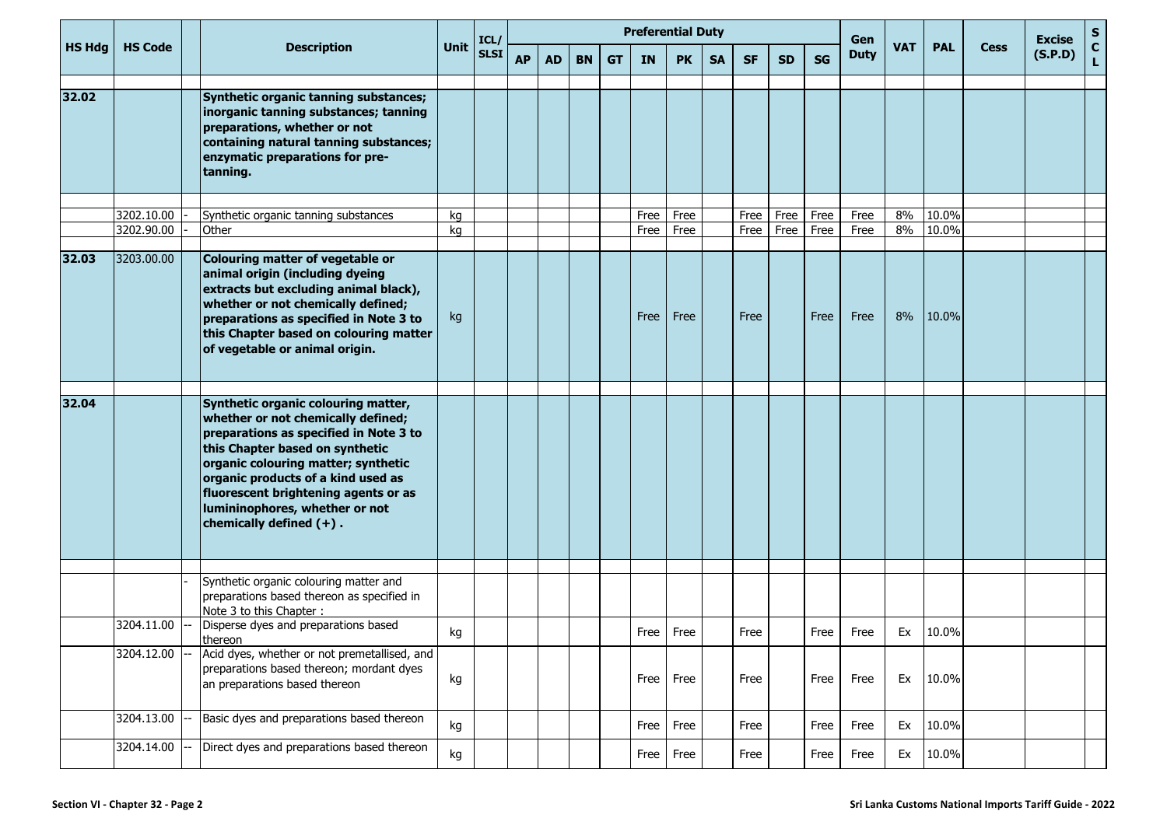|               |                |                                                                                                                                                                                                                                                                                                                                             |             | ICL/        |           |           |           |           |           | <b>Preferential Duty</b> |           |           |           |           | Gen         |            |            |             | <b>Excise</b> | ${\sf s}$                    |
|---------------|----------------|---------------------------------------------------------------------------------------------------------------------------------------------------------------------------------------------------------------------------------------------------------------------------------------------------------------------------------------------|-------------|-------------|-----------|-----------|-----------|-----------|-----------|--------------------------|-----------|-----------|-----------|-----------|-------------|------------|------------|-------------|---------------|------------------------------|
| <b>HS Hdg</b> | <b>HS Code</b> | <b>Description</b>                                                                                                                                                                                                                                                                                                                          | <b>Unit</b> | <b>SLSI</b> | <b>AP</b> | <b>AD</b> | <b>BN</b> | <b>GT</b> | <b>IN</b> | <b>PK</b>                | <b>SA</b> | <b>SF</b> | <b>SD</b> | <b>SG</b> | <b>Duty</b> | <b>VAT</b> | <b>PAL</b> | <b>Cess</b> | (S.P.D)       | $\mathbf{C}$<br>$\mathbf{L}$ |
| 32.02         |                | Synthetic organic tanning substances;<br>inorganic tanning substances; tanning<br>preparations, whether or not<br>containing natural tanning substances;<br>enzymatic preparations for pre-<br>tanning.                                                                                                                                     |             |             |           |           |           |           |           |                          |           |           |           |           |             |            |            |             |               |                              |
|               | 3202.10.00     | Synthetic organic tanning substances                                                                                                                                                                                                                                                                                                        | kg          |             |           |           |           |           | Free      | Free                     |           | Free      | Free      | Free      | Free        | 8%         | 10.0%      |             |               |                              |
|               | 3202.90.00     | Other                                                                                                                                                                                                                                                                                                                                       | kg          |             |           |           |           |           | Free      | Free                     |           | Free      | Free      | Free      | Free        | 8%         | 10.0%      |             |               |                              |
| 32.03         | 3203.00.00     | Colouring matter of vegetable or<br>animal origin (including dyeing<br>extracts but excluding animal black),<br>whether or not chemically defined;<br>preparations as specified in Note 3 to<br>this Chapter based on colouring matter<br>of vegetable or animal origin.                                                                    | kg          |             |           |           |           |           | Free      | Free                     |           | Free      |           | Free      | Free        | 8%         | 10.0%      |             |               |                              |
| 32.04         |                | Synthetic organic colouring matter,<br>whether or not chemically defined;<br>preparations as specified in Note 3 to<br>this Chapter based on synthetic<br>organic colouring matter; synthetic<br>organic products of a kind used as<br>fluorescent brightening agents or as<br>lumininophores, whether or not<br>chemically defined $(+)$ . |             |             |           |           |           |           |           |                          |           |           |           |           |             |            |            |             |               |                              |
|               |                |                                                                                                                                                                                                                                                                                                                                             |             |             |           |           |           |           |           |                          |           |           |           |           |             |            |            |             |               |                              |
|               |                | Synthetic organic colouring matter and<br>preparations based thereon as specified in<br>Note 3 to this Chapter :                                                                                                                                                                                                                            |             |             |           |           |           |           |           |                          |           |           |           |           |             |            |            |             |               |                              |
|               | 3204.11.00     | Disperse dyes and preparations based<br><b>thereon</b>                                                                                                                                                                                                                                                                                      | kg          |             |           |           |           |           | Free      | Free                     |           | Free      |           | Free      | Free        | Ex         | 10.0%      |             |               |                              |
|               | 3204.12.00     | Acid dyes, whether or not premetallised, and<br>preparations based thereon; mordant dyes<br>an preparations based thereon                                                                                                                                                                                                                   | kg          |             |           |           |           |           |           | Free Free                |           | Free      |           | Free      | Free        | Ex         | 10.0%      |             |               |                              |
|               | 3204.13.00     | Basic dyes and preparations based thereon                                                                                                                                                                                                                                                                                                   | kg          |             |           |           |           |           | Free      | Free                     |           | Free      |           | Free      | Free        | Ex         | 10.0%      |             |               |                              |
|               | 3204.14.00     | Direct dyes and preparations based thereon                                                                                                                                                                                                                                                                                                  | kg          |             |           |           |           |           | Free      | Free                     |           | Free      |           | Free      | Free        | Ex         | 10.0%      |             |               |                              |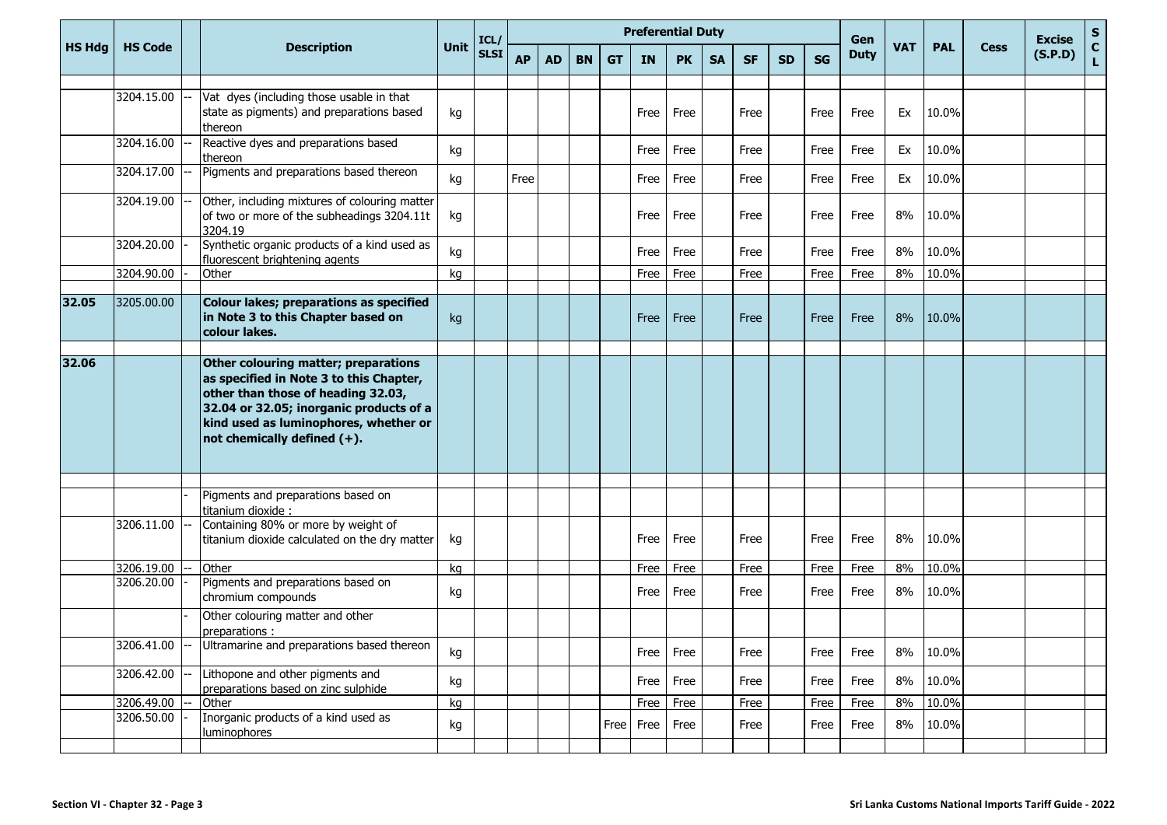|               |                                        |                                                                                                                                                                                                                                          |      | ICL/        |           |           |           |           |           | <b>Preferential Duty</b> |           |           |     |           | Gen         |            |            |             | <b>Excise</b> | $\frac{{\sf s}}{{\sf c}}$ |
|---------------|----------------------------------------|------------------------------------------------------------------------------------------------------------------------------------------------------------------------------------------------------------------------------------------|------|-------------|-----------|-----------|-----------|-----------|-----------|--------------------------|-----------|-----------|-----|-----------|-------------|------------|------------|-------------|---------------|---------------------------|
| <b>HS Hdg</b> | <b>HS Code</b>                         | <b>Description</b>                                                                                                                                                                                                                       | Unit | <b>SLSI</b> | <b>AP</b> | <b>AD</b> | <b>BN</b> | <b>GT</b> | <b>IN</b> | <b>PK</b>                | <b>SA</b> | <b>SF</b> | SD. | <b>SG</b> | <b>Duty</b> | <b>VAT</b> | <b>PAL</b> | <b>Cess</b> | (S.P.D)       | Ĺ.                        |
|               | 3204.15.00                             | Vat dyes (including those usable in that<br>state as pigments) and preparations based<br>thereon                                                                                                                                         | kg   |             |           |           |           |           | Free      | Free                     |           | Free      |     | Free      | Free        | Ex         | 10.0%      |             |               |                           |
|               | 3204.16.00                             | Reactive dyes and preparations based<br>thereon                                                                                                                                                                                          | kg   |             |           |           |           |           | Free      | Free                     |           | Free      |     | Free      | Free        | Ex         | 10.0%      |             |               |                           |
|               | 3204.17.00                             | Pigments and preparations based thereon                                                                                                                                                                                                  | kg   |             | Free      |           |           |           | Free      | Free                     |           | Free      |     | Free      | Free        | Ex         | 10.0%      |             |               |                           |
|               | 3204.19.00                             | Other, including mixtures of colouring matter<br>of two or more of the subheadings 3204.11t<br>3204.19                                                                                                                                   | kg   |             |           |           |           |           | Free      | Free                     |           | Free      |     | Free      | Free        | 8%         | 10.0%      |             |               |                           |
|               | 3204.20.00                             | Synthetic organic products of a kind used as<br>fluorescent brightening agents                                                                                                                                                           | kg   |             |           |           |           |           | Free      | Free                     |           | Free      |     | Free      | Free        | 8%         | 10.0%      |             |               |                           |
|               | 3204.90.00                             | Other                                                                                                                                                                                                                                    | kg   |             |           |           |           |           | Free      | Free                     |           | Free      |     | Free      | Free        | 8%         | 10.0%      |             |               |                           |
| 32.05         | 3205.00.00                             | <b>Colour lakes; preparations as specified</b><br>in Note 3 to this Chapter based on<br>colour lakes.                                                                                                                                    | kg   |             |           |           |           |           | Free      | Free                     |           | Free      |     | Free      | Free        | 8%         | 10.0%      |             |               |                           |
| 32.06         |                                        | Other colouring matter; preparations<br>as specified in Note 3 to this Chapter,<br>other than those of heading 32.03,<br>32.04 or 32.05; inorganic products of a<br>kind used as luminophores, whether or<br>not chemically defined (+). |      |             |           |           |           |           |           |                          |           |           |     |           |             |            |            |             |               |                           |
|               |                                        |                                                                                                                                                                                                                                          |      |             |           |           |           |           |           |                          |           |           |     |           |             |            |            |             |               |                           |
|               | 3206.11.00                             | Pigments and preparations based on<br>titanium dioxide :<br>Containing 80% or more by weight of<br>titanium dioxide calculated on the dry matter                                                                                         | kg   |             |           |           |           |           | Free      | Free                     |           | Free      |     | Free      | Free        | 8%         | 10.0%      |             |               |                           |
|               | 3206.19.00                             | Other                                                                                                                                                                                                                                    | kg   |             |           |           |           |           | Free      | Free                     |           | Free      |     | Free      | Free        | 8%         | 10.0%      |             |               |                           |
|               |                                        | chromium compounds                                                                                                                                                                                                                       | kg   |             |           |           |           |           | Free      | Free                     |           | Free      |     | Free      | Free        | 8%         | 10.0%      |             |               |                           |
|               |                                        | Other colouring matter and other<br>preparations:                                                                                                                                                                                        |      |             |           |           |           |           |           |                          |           |           |     |           |             |            |            |             |               |                           |
|               |                                        |                                                                                                                                                                                                                                          | kg   |             |           |           |           |           |           | Free Free                |           | Free      |     | Free      | Free        | 8%         | 10.0%      |             |               |                           |
|               | 3206.42.00                             | preparations based on zinc sulphide                                                                                                                                                                                                      | kg   |             |           |           |           |           | Free      | Free                     |           | Free      |     | Free      | Free        | 8%         | 10.0%      |             |               |                           |
|               |                                        | Other                                                                                                                                                                                                                                    | kg   |             |           |           |           |           |           |                          |           |           |     |           |             |            |            |             |               |                           |
|               |                                        | luminophores                                                                                                                                                                                                                             | kg   |             |           |           |           |           | Free Free | Free                     |           | Free      |     | Free      | Free        | 8%         | 10.0%      |             |               |                           |
|               | 3206.20.00<br>3206.49.00<br>3206.50.00 | Pigments and preparations based on<br>3206.41.00 -- Ultramarine and preparations based thereon<br>Lithopone and other pigments and<br>Inorganic products of a kind used as                                                               |      |             |           |           |           |           | Free      | Free                     |           | Free      |     | Free      | Free        | 8%         | 10.0%      |             |               |                           |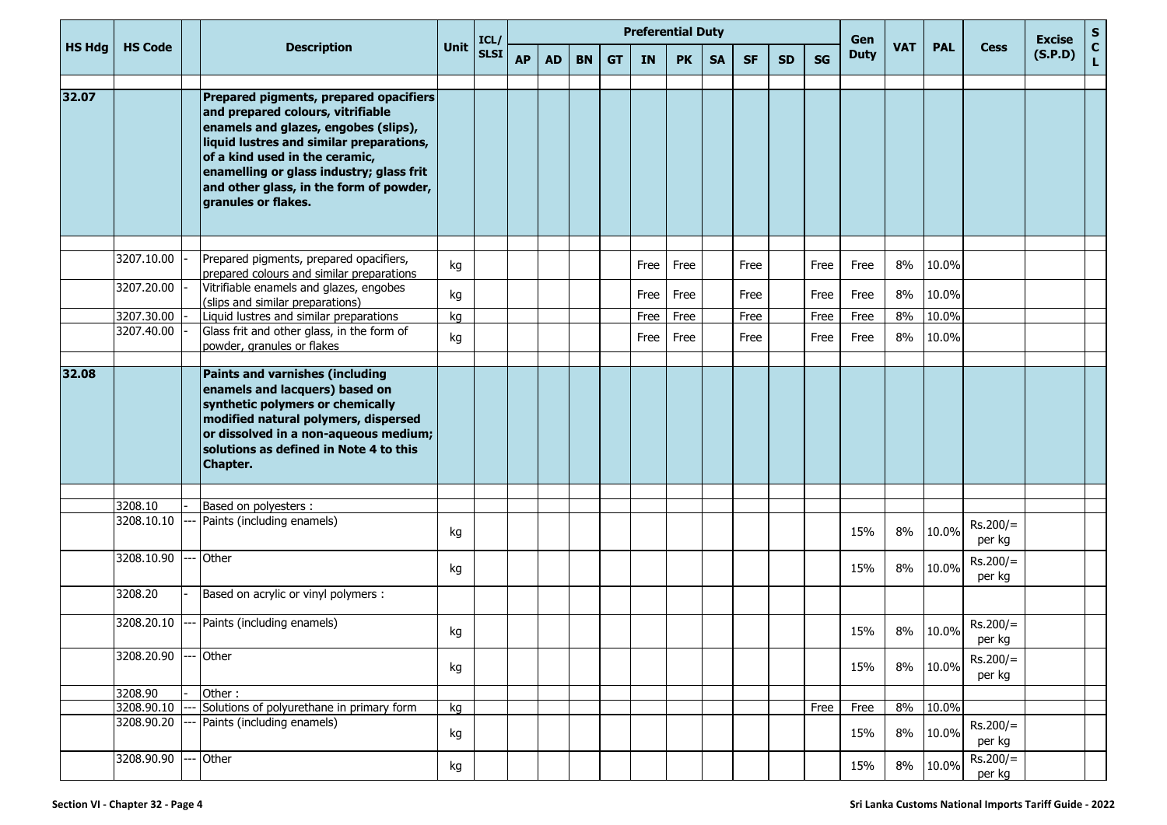| <b>HS Hdg</b> |                          |                                                                                                                                                                                                                                                                                                                 |          | ICL/        |           |           |           |           |      | <b>Preferential Duty</b> |           |           |           |           | Gen         |            |                |                      | <b>Excise</b> | ${\sf s}$                    |
|---------------|--------------------------|-----------------------------------------------------------------------------------------------------------------------------------------------------------------------------------------------------------------------------------------------------------------------------------------------------------------|----------|-------------|-----------|-----------|-----------|-----------|------|--------------------------|-----------|-----------|-----------|-----------|-------------|------------|----------------|----------------------|---------------|------------------------------|
|               | <b>HS Code</b>           | <b>Description</b>                                                                                                                                                                                                                                                                                              | Unit     | <b>SLSI</b> | <b>AP</b> | <b>AD</b> | <b>BN</b> | <b>GT</b> | IN   | <b>PK</b>                | <b>SA</b> | <b>SF</b> | <b>SD</b> | <b>SG</b> | <b>Duty</b> | <b>VAT</b> | <b>PAL</b>     | <b>Cess</b>          | (S.P.D)       | $\mathbf{C}$<br>$\mathbf{L}$ |
| 32.07         |                          | Prepared pigments, prepared opacifiers<br>and prepared colours, vitrifiable<br>enamels and glazes, engobes (slips),<br>liquid lustres and similar preparations,<br>of a kind used in the ceramic,<br>enamelling or glass industry; glass frit<br>and other glass, in the form of powder,<br>granules or flakes. |          |             |           |           |           |           |      |                          |           |           |           |           |             |            |                |                      |               |                              |
|               | 3207.10.00               | Prepared pigments, prepared opacifiers,                                                                                                                                                                                                                                                                         |          |             |           |           |           |           |      |                          |           |           |           |           |             |            |                |                      |               |                              |
|               | 3207.20.00               | prepared colours and similar preparations                                                                                                                                                                                                                                                                       | kg       |             |           |           |           |           | Free | Free                     |           | Free      |           | Free      | Free        | 8%         | 10.0%          |                      |               |                              |
|               |                          | Vitrifiable enamels and glazes, engobes<br>(slips and similar preparations)                                                                                                                                                                                                                                     | kg       |             |           |           |           |           | Free | Free                     |           | Free      |           | Free      | Free        | 8%         | 10.0%          |                      |               |                              |
|               | 3207.30.00               | Liquid lustres and similar preparations                                                                                                                                                                                                                                                                         | kg       |             |           |           |           |           | Free | Free                     |           | Free      |           | Free      | Free        | 8%         | 10.0%          |                      |               |                              |
|               | 3207.40.00               | Glass frit and other glass, in the form of<br>powder, granules or flakes                                                                                                                                                                                                                                        | kg       |             |           |           |           |           | Free | Free                     |           | Free      |           | Free      | Free        | 8%         | 10.0%          |                      |               |                              |
| 32.08         |                          | Paints and varnishes (including<br>enamels and lacquers) based on<br>synthetic polymers or chemically<br>modified natural polymers, dispersed<br>or dissolved in a non-aqueous medium;<br>solutions as defined in Note 4 to this<br>Chapter.                                                                    |          |             |           |           |           |           |      |                          |           |           |           |           |             |            |                |                      |               |                              |
|               | 3208.10                  | Based on polyesters :                                                                                                                                                                                                                                                                                           |          |             |           |           |           |           |      |                          |           |           |           |           |             |            |                |                      |               |                              |
|               | 3208.10.10               | Paints (including enamels)                                                                                                                                                                                                                                                                                      | kg       |             |           |           |           |           |      |                          |           |           |           |           | 15%         | 8%         | 10.0%          | $Rs.200/=$<br>per kg |               |                              |
|               | 3208.10.90               | Other                                                                                                                                                                                                                                                                                                           | kg       |             |           |           |           |           |      |                          |           |           |           |           | 15%         | 8%         | 10.0%          | $Rs.200/=$<br>per kg |               |                              |
|               | 3208.20                  | Based on acrylic or vinyl polymers :                                                                                                                                                                                                                                                                            |          |             |           |           |           |           |      |                          |           |           |           |           |             |            |                |                      |               |                              |
|               | 3208.20.10               | Paints (including enamels)                                                                                                                                                                                                                                                                                      | kg       |             |           |           |           |           |      |                          |           |           |           |           | 15%         | 8%         | 10.0%          | $Rs.200/=$<br>per kg |               |                              |
|               | 3208.20.90               | Other                                                                                                                                                                                                                                                                                                           | kg       |             |           |           |           |           |      |                          |           |           |           |           | 15%         | 8%         | 10.0%          | $Rs.200/=$<br>per kg |               |                              |
|               | 3208.90                  | Other:                                                                                                                                                                                                                                                                                                          |          |             |           |           |           |           |      |                          |           |           |           |           |             |            |                |                      |               |                              |
|               | 3208.90.10<br>3208.90.20 | Solutions of polyurethane in primary form<br>Paints (including enamels)                                                                                                                                                                                                                                         | kg<br>kg |             |           |           |           |           |      |                          |           |           |           | Free      | Free<br>15% | 8%<br>8%   | 10.0%<br>10.0% | $Rs.200/=$<br>per kg |               |                              |
|               | 3208.90.90               | Other                                                                                                                                                                                                                                                                                                           | kg       |             |           |           |           |           |      |                          |           |           |           |           | 15%         | 8%         | 10.0%          | $Rs.200/=$<br>per kg |               |                              |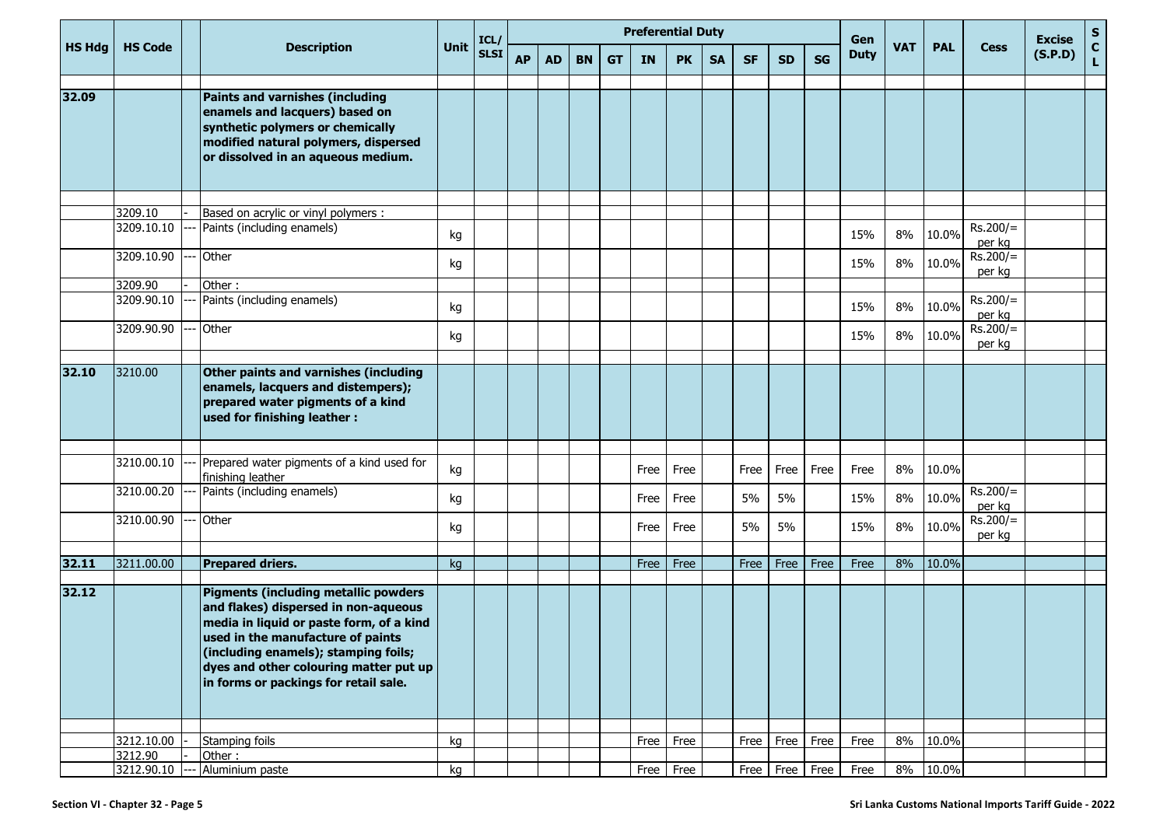| <b>HS Hdg</b> |                       |       |                                                                                                                                                                                                                                                                                          |      | ICL/        |           |           |           |           |           | <b>Preferential Duty</b> |           |           |             |           | Gen         |            |            |                      | <b>Excise</b> | ${\sf s}$          |
|---------------|-----------------------|-------|------------------------------------------------------------------------------------------------------------------------------------------------------------------------------------------------------------------------------------------------------------------------------------------|------|-------------|-----------|-----------|-----------|-----------|-----------|--------------------------|-----------|-----------|-------------|-----------|-------------|------------|------------|----------------------|---------------|--------------------|
|               | <b>HS Code</b>        |       | <b>Description</b>                                                                                                                                                                                                                                                                       | Unit | <b>SLSI</b> | <b>AP</b> | <b>AD</b> | <b>BN</b> | <b>GT</b> | <b>IN</b> | <b>PK</b>                | <b>SA</b> | <b>SF</b> | <b>SD</b>   | <b>SG</b> | <b>Duty</b> | <b>VAT</b> | <b>PAL</b> | <b>Cess</b>          | (S.P.D)       | $\mathbf{C}$<br>L. |
| 32.09         |                       |       | Paints and varnishes (including<br>enamels and lacquers) based on<br>synthetic polymers or chemically<br>modified natural polymers, dispersed<br>or dissolved in an aqueous medium.                                                                                                      |      |             |           |           |           |           |           |                          |           |           |             |           |             |            |            |                      |               |                    |
|               |                       |       |                                                                                                                                                                                                                                                                                          |      |             |           |           |           |           |           |                          |           |           |             |           |             |            |            |                      |               |                    |
|               | 3209.10<br>3209.10.10 |       | Based on acrylic or vinyl polymers :<br>Paints (including enamels)                                                                                                                                                                                                                       | kg   |             |           |           |           |           |           |                          |           |           |             |           | 15%         | 8%         | 10.0%      | $Rs.200/=$           |               |                    |
|               | 3209.10.90            |       | Other                                                                                                                                                                                                                                                                                    | kg   |             |           |           |           |           |           |                          |           |           |             |           | 15%         | 8%         | 10.0%      | per kg<br>$Rs.200/=$ |               |                    |
|               | 3209.90               |       | Other:                                                                                                                                                                                                                                                                                   |      |             |           |           |           |           |           |                          |           |           |             |           |             |            |            | per kg               |               |                    |
|               | 3209.90.10            |       | Paints (including enamels)                                                                                                                                                                                                                                                               | kg   |             |           |           |           |           |           |                          |           |           |             |           | 15%         | 8%         | 10.0%      | $Rs.200/=$<br>per kg |               |                    |
|               | 3209.90.90            |       | Other                                                                                                                                                                                                                                                                                    | kg   |             |           |           |           |           |           |                          |           |           |             |           | 15%         | 8%         | 10.0%      | $Rs.200/=$<br>per kg |               |                    |
|               |                       |       |                                                                                                                                                                                                                                                                                          |      |             |           |           |           |           |           |                          |           |           |             |           |             |            |            |                      |               |                    |
| 32.10         | 3210.00               |       | Other paints and varnishes (including<br>enamels, lacquers and distempers);<br>prepared water pigments of a kind<br>used for finishing leather :                                                                                                                                         |      |             |           |           |           |           |           |                          |           |           |             |           |             |            |            |                      |               |                    |
|               |                       |       |                                                                                                                                                                                                                                                                                          |      |             |           |           |           |           |           |                          |           |           |             |           |             |            |            |                      |               |                    |
|               | 3210.00.10            |       | Prepared water pigments of a kind used for<br>finishing leather                                                                                                                                                                                                                          | kg   |             |           |           |           |           | Free      | Free                     |           | Free      | Free        | Free      | Free        | 8%         | 10.0%      |                      |               |                    |
|               | 3210.00.20            |       | Paints (including enamels)                                                                                                                                                                                                                                                               | kg   |             |           |           |           |           | Free      | Free                     |           | 5%        | 5%          |           | 15%         | 8%         | 10.0%      | $Rs.200/=$<br>per kg |               |                    |
|               | 3210.00.90            |       | Other                                                                                                                                                                                                                                                                                    | kg   |             |           |           |           |           | Free      | Free                     |           | 5%        | 5%          |           | 15%         | 8%         | 10.0%      | $Rs.200/=$<br>per kg |               |                    |
| 32.11         | 3211.00.00            |       | <b>Prepared driers.</b>                                                                                                                                                                                                                                                                  |      |             |           |           |           |           | Free      | Free                     |           | Free      | Free        | Free      | Free        | 8%         | 10.0%      |                      |               |                    |
|               |                       |       |                                                                                                                                                                                                                                                                                          | kg   |             |           |           |           |           |           |                          |           |           |             |           |             |            |            |                      |               |                    |
| 32.12         |                       |       | Pigments (including metallic powders<br>and flakes) dispersed in non-aqueous<br>media in liquid or paste form, of a kind<br>used in the manufacture of paints<br>(including enamels); stamping foils;<br>dyes and other colouring matter put up<br>in forms or packings for retail sale. |      |             |           |           |           |           |           |                          |           |           |             |           |             |            |            |                      |               |                    |
|               |                       |       |                                                                                                                                                                                                                                                                                          |      |             |           |           |           |           |           |                          |           |           |             |           |             |            |            |                      |               |                    |
|               | 3212.10.00<br>3212.90 |       | Stamping foils<br>Other:                                                                                                                                                                                                                                                                 | kg   |             |           |           |           |           | Free      | Free                     |           | Free      | Free        | Free      | Free        | 8%         | 10.0%      |                      |               |                    |
|               | 3212.90.10            | $---$ | Aluminium paste                                                                                                                                                                                                                                                                          | kg   |             |           |           |           |           |           | Free Free                |           | Free      | Free   Free |           | Free        | 8%         | 10.0%      |                      |               |                    |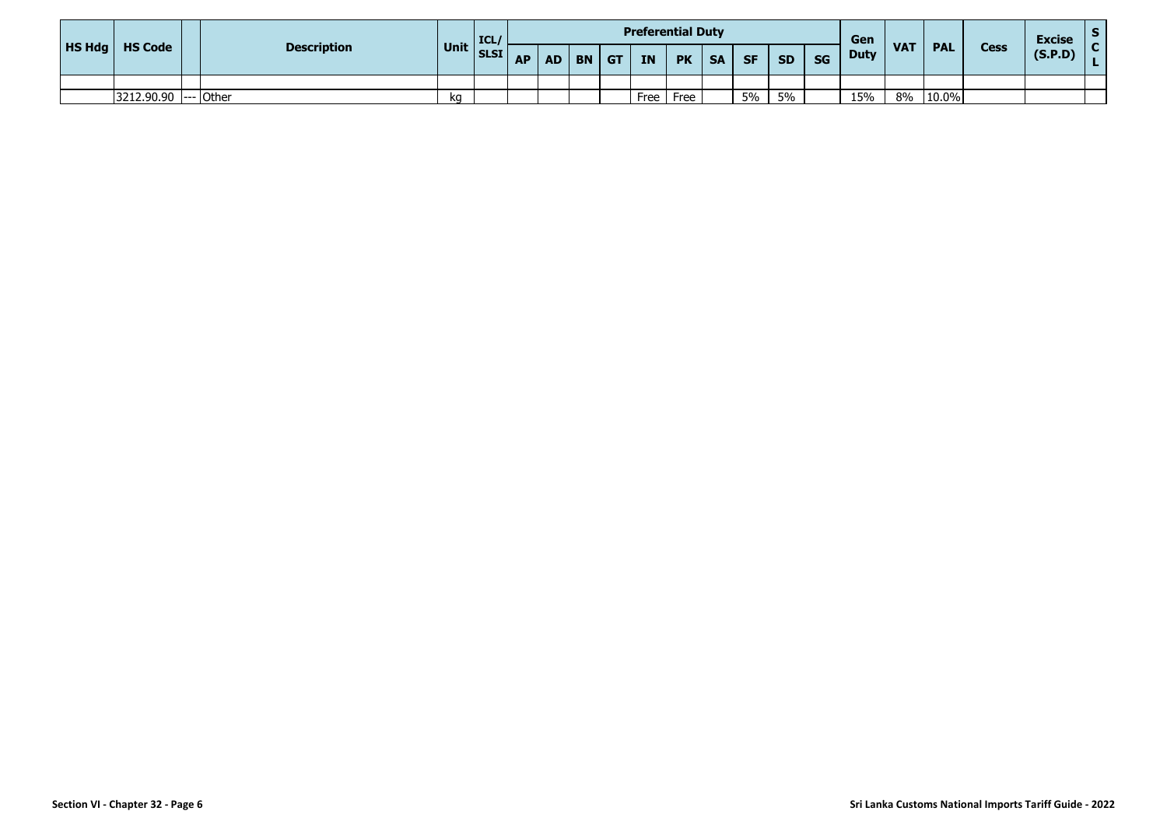| HS Hdg   HS Code |                      |                    |           | ICL/ |           |           |           |    |           | <b>Preferential Duty</b> |           |           |           |           | Gen         |                 |            |             | <b>Excise</b> |  |
|------------------|----------------------|--------------------|-----------|------|-----------|-----------|-----------|----|-----------|--------------------------|-----------|-----------|-----------|-----------|-------------|-----------------|------------|-------------|---------------|--|
|                  |                      | <b>Description</b> | Unit SLSI |      | <b>AP</b> | <b>AD</b> | <b>BN</b> | GT | <b>IN</b> | <b>PK</b>                | <b>SA</b> | <b>SF</b> | <b>SD</b> | <b>SG</b> | <b>Duty</b> | VA <sub>7</sub> | <b>PAL</b> | <b>Cess</b> | (S.P.D)       |  |
|                  |                      |                    |           |      |           |           |           |    |           |                          |           |           |           |           |             |                 |            |             |               |  |
|                  | 3212.90.90 --- Other |                    | kq        |      |           |           |           |    | Free      | Free                     |           | 5%        | 5%        |           | 15%         | 8%              | 10.0%      |             |               |  |